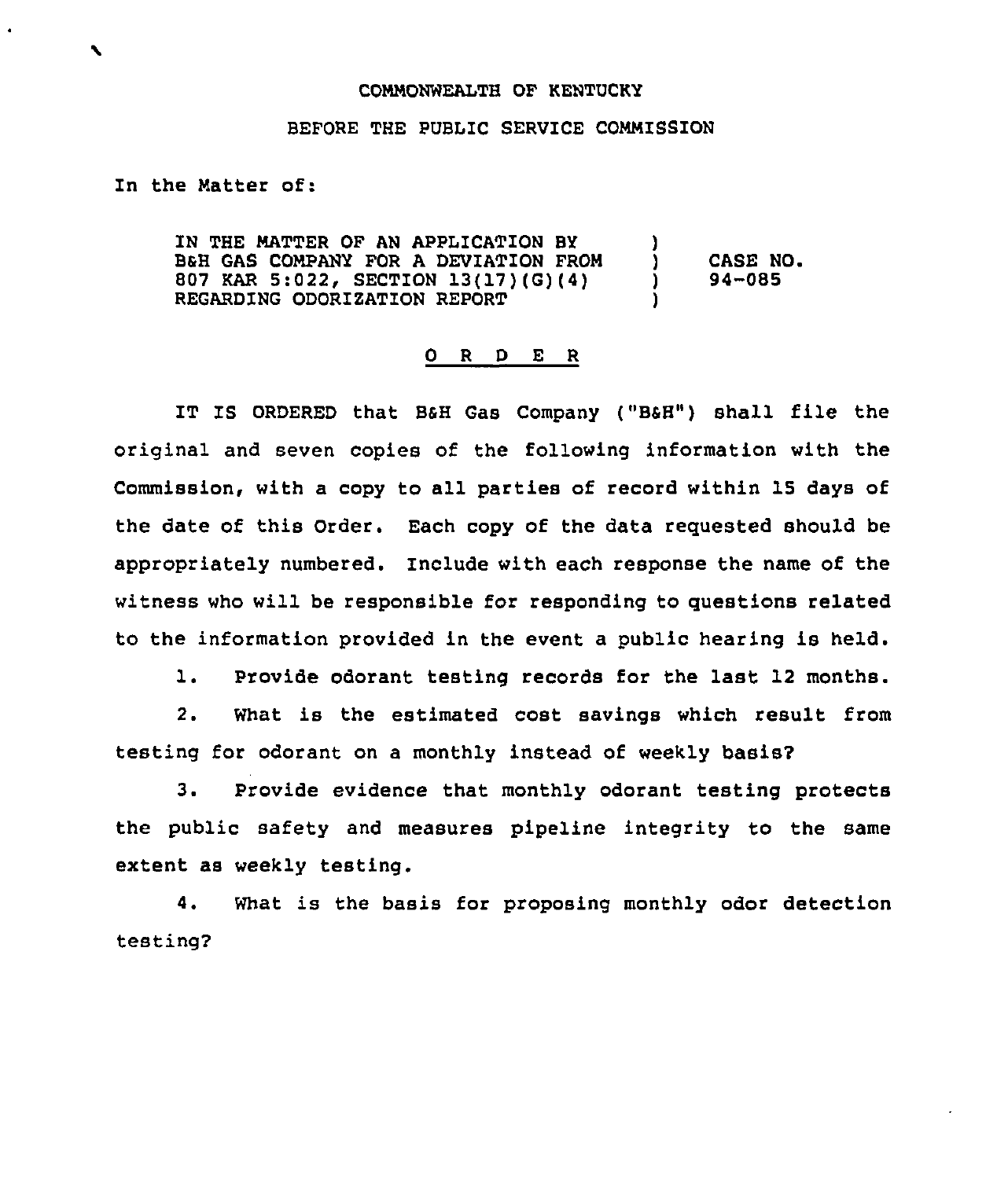## COMMONWEALTH OF KENTUCKY

## BEFORE THE PUBLIC SERVICE COMMISSION

In the Matter of:

IN THE MATTER OF AN APPLICATION BY BSH GAS COMPANY FOR A DEVIATION FROM 807 KAR 5:022, SECTION 13(17)(G)(4) REGARDING ODORIZATION REPORT ) ) CASE NO.<br> $)$  94-085 ) 94-085 )

## 0 R <sup>D</sup> E <sup>R</sup>

IT IS ORDERED that BSH Gas Company ("BSH") shall file the original and seven copies of the following information with the Commission, with a copy to all parties of record within 15 days of the date of this Order. Each copy of the data requested should be appropriately numbered. Include with each response the name of the witness who will be responsible for responding to questions related to the information provided in the event a public hearing is held.

1. Provide odorant testing records for the last <sup>12</sup> months.

2. What is the estimated cost savings which result from testing for odorant on a monthly instead of weekly basis2

3. Provide evidence that monthly odorant testing protects the public safety and measures pipeline integrity to the same extent as weekly testing.

4. What is the basis for proposing monthly odor detection testing?